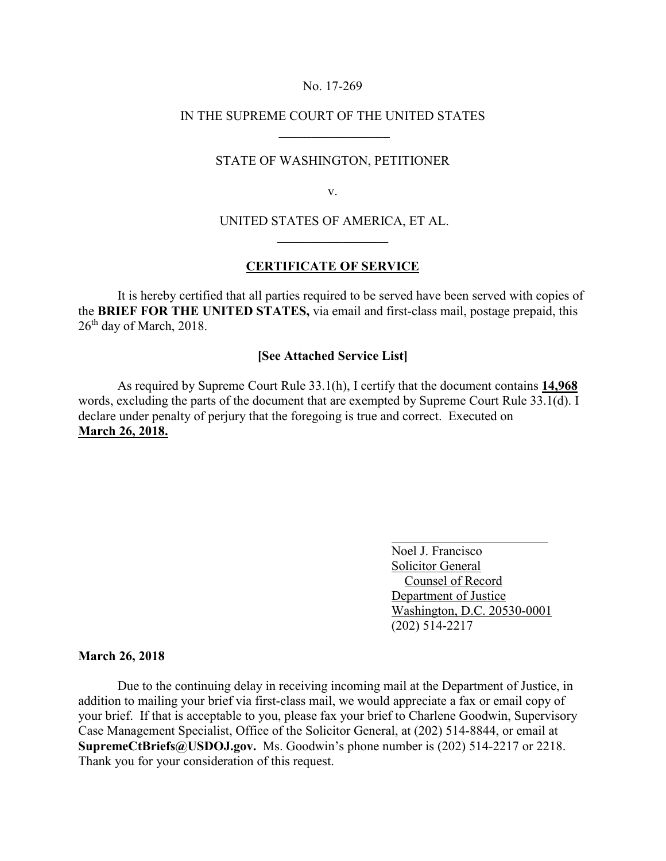# No. 17-269

# IN THE SUPREME COURT OF THE UNITED STATES

### STATE OF WASHINGTON, PETITIONER

v.

# UNITED STATES OF AMERICA, ET AL.

#### **CERTIFICATE OF SERVICE**

It is hereby certified that all parties required to be served have been served with copies of the **BRIEF FOR THE UNITED STATES,** via email and first-class mail, postage prepaid, this  $26<sup>th</sup>$  day of March, 2018.

# **[See Attached Service List]**

 As required by Supreme Court Rule 33.1(h), I certify that the document contains **14,968**  words, excluding the parts of the document that are exempted by Supreme Court Rule 33.1(d). I declare under penalty of perjury that the foregoing is true and correct. Executed on **March 26, 2018.**

> Noel J. Francisco Solicitor General Counsel of Record Department of Justice Washington, D.C. 20530-0001 (202) 514-2217

#### **March 26, 2018**

Due to the continuing delay in receiving incoming mail at the Department of Justice, in addition to mailing your brief via first-class mail, we would appreciate a fax or email copy of your brief. If that is acceptable to you, please fax your brief to Charlene Goodwin, Supervisory Case Management Specialist, Office of the Solicitor General, at (202) 514-8844, or email at **SupremeCtBriefs@USDOJ.gov.** Ms. Goodwin's phone number is (202) 514-2217 or 2218. Thank you for your consideration of this request.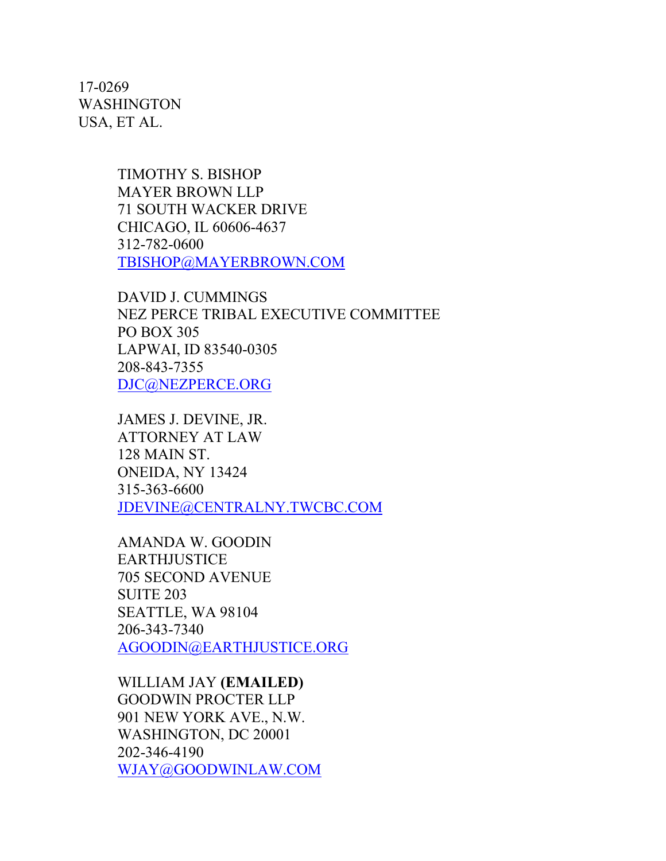17-0269 WASHINGTON USA, ET AL.

> TIMOTHY S. BISHOP MAYER BROWN LLP 71 SOUTH WACKER DRIVE CHICAGO, IL 60606-4637 312-782-0600 [TBISHOP@MAYERBROWN.COM](mailto:TBISHOP@MAYERBROWN.COM)

DAVID J. CUMMINGS NEZ PERCE TRIBAL EXECUTIVE COMMITTEE PO BOX 305 LAPWAI, ID 83540-0305 208-843-7355 [DJC@NEZPERCE.ORG](mailto:DJC@NEZPERCE.ORG)

JAMES J. DEVINE, JR. ATTORNEY AT LAW 128 MAIN ST. ONEIDA, NY 13424 315-363-6600 [JDEVINE@CENTRALNY.TWCBC.COM](mailto:JDEVINE@CENTRALNY.TWCBC.COM)

AMANDA W. GOODIN EARTHJUSTICE 705 SECOND AVENUE SUITE 203 SEATTLE, WA 98104 206-343-7340 [AGOODIN@EARTHJUSTICE.ORG](mailto:AGOODIN@EARTHJUSTICE.ORG)

WILLIAM JAY **(EMAILED)** GOODWIN PROCTER LLP 901 NEW YORK AVE., N.W. WASHINGTON, DC 20001 202-346-4190 [WJAY@GOODWINLAW.COM](mailto:WJAY@GOODWINLAW.COM)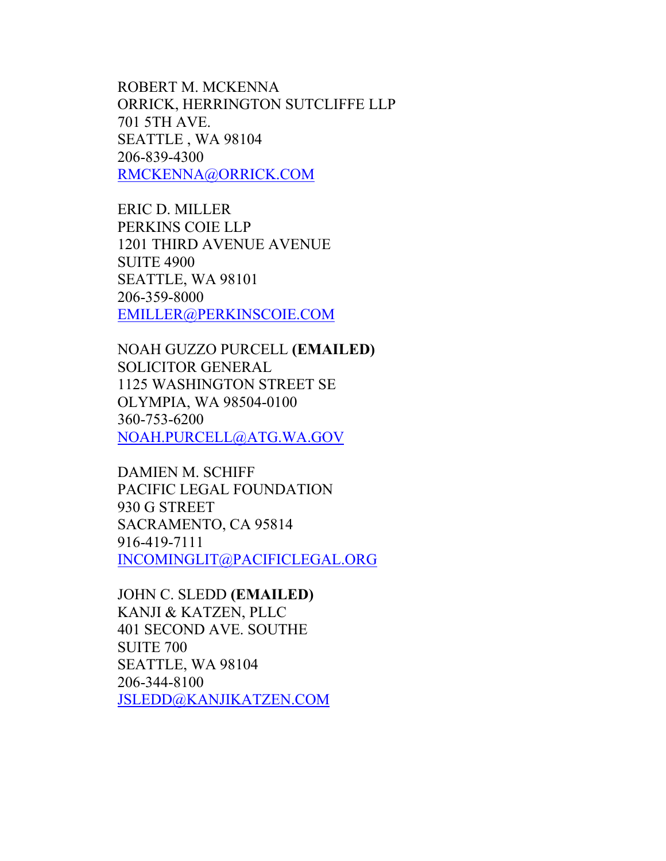ROBERT M. MCKENNA ORRICK, HERRINGTON SUTCLIFFE LLP 701 5TH AVE. SEATTLE , WA 98104 206-839-4300 [RMCKENNA@ORRICK.COM](mailto:RMCKENNA@ORRICK.COM)

ERIC D. MILLER PERKINS COIE LLP 1201 THIRD AVENUE AVENUE SUITE 4900 SEATTLE, WA 98101 206-359-8000 [EMILLER@PERKINSCOIE.COM](mailto:EMILLER@PERKINSCOIE.COM)

NOAH GUZZO PURCELL **(EMAILED)**  SOLICITOR GENERAL 1125 WASHINGTON STREET SE OLYMPIA, WA 98504-0100 360-753-6200 [NOAH.PURCELL@ATG.WA.GOV](mailto:NOAH.PURCELL@ATG.WA.GOV)

DAMIEN M. SCHIFF PACIFIC LEGAL FOUNDATION 930 G STREET SACRAMENTO, CA 95814 916-419-7111 [INCOMINGLIT@PACIFICLEGAL.ORG](mailto:INCOMINGLIT@PACIFICLEGAL.ORG)

JOHN C. SLEDD **(EMAILED)** KANJI & KATZEN, PLLC 401 SECOND AVE. SOUTHE SUITE 700 SEATTLE, WA 98104 206-344-8100 [JSLEDD@KANJIKATZEN.COM](mailto:JSLEDD@KANJIKATZEN.COM)